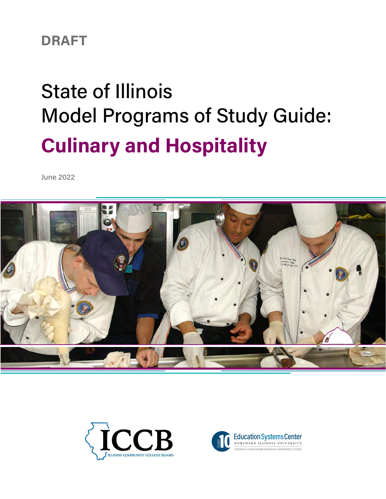# **DRAFT**

# State of Illinois Model Programs of Study Guide: **Culinary and Hospitality**

June 2022





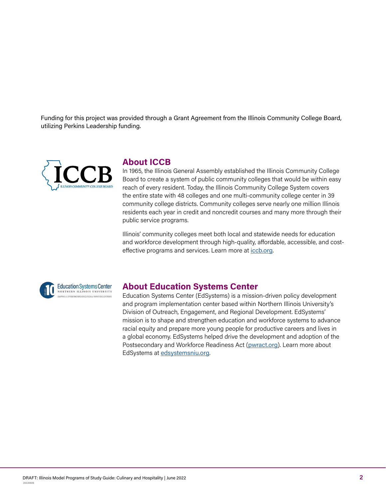Funding for this project was provided through a Grant Agreement from the Illinois Community College Board, utilizing Perkins Leadership funding.



# **About ICCB**

In 1965, the Illinois General Assembly established the Illinois Community College Board to create a system of public community colleges that would be within easy reach of every resident. Today, the Illinois Community College System covers the entire state with 48 colleges and one multi-community college center in 39 community college districts. Community colleges serve nearly one million Illinois residents each year in credit and noncredit courses and many more through their public service programs.

Illinois' community colleges meet both local and statewide needs for education and workforce development through high-quality, affordable, accessible, and costeffective programs and services. Learn more at [iccb.org](https://www.iccb.org/iccb/).





# **About Education Systems Center**

Education Systems Center (EdSystems) is a mission-driven policy development and program implementation center based within Northern Illinois University's Division of Outreach, Engagement, and Regional Development. EdSystems' mission is to shape and strengthen education and workforce systems to advance racial equity and prepare more young people for productive careers and lives in a global economy. EdSystems helped drive the development and adoption of the Postsecondary and Workforce Readiness Act ([pwract.org](https://www.illinoisworknet.com/WIOA/Resources/Pages/StateUnifiedPlan.aspx)). Learn more about EdSystems at [edsystemsniu.org](https://edsystemsniu.org/).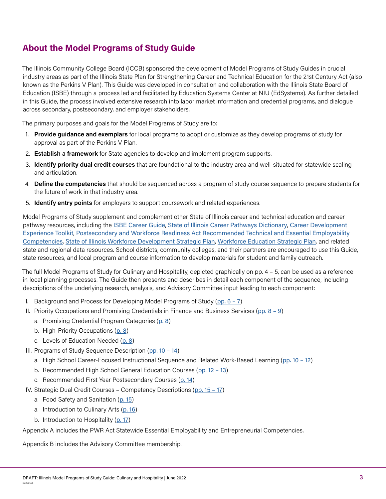# **About the Model Programs of Study Guide**

The Illinois Community College Board (ICCB) sponsored the development of Model Programs of Study Guides in crucial industry areas as part of the Illinois State Plan for Strengthening Career and Technical Education for the 21st Century Act (also known as the Perkins V Plan). This Guide was developed in consultation and collaboration with the Illinois State Board of Education (ISBE) through a process led and facilitated by Education Systems Center at NIU (EdSystems). As further detailed in this Guide, the process involved extensive research into labor market information and credential programs, and dialogue across secondary, postsecondary, and employer stakeholders.

The primary purposes and goals for the Model Programs of Study are to:

- 1. **Provide guidance and exemplars** for local programs to adopt or customize as they develop programs of study for approval as part of the Perkins V Plan.
- 2. **Establish a framework** for State agencies to develop and implement program supports.
- 3. **Identify priority dual credit courses** that are foundational to the industry area and well-situated for statewide scaling and articulation.
- 4. **Define the competencies** that should be sequenced across a program of study course sequence to prepare students for the future of work in that industry area.
- 5. **Identify entry points** for employers to support coursework and related experiences.

Model Programs of Study supplement and complement other State of Illinois career and technical education and career pathway resources, including the [ISBE Career Guide](https://www.ilcareerguide.com/), [State of Illinois Career Pathways Dictionary](https://www.isac.org/pace/cp_dictionary_11-13-18__final.pdf), Career Development [Experience Toolkit](https://edsystemsniu.org/career-development-experience-toolkit/), [Postsecondary and Workforce Readiness Act Recommended Technical and Essential Employability](https://www.isbe.net/Documents/EDS-PWRAReport.pdf)  [Competencies](https://www.isbe.net/Documents/EDS-PWRAReport.pdf), [State of Illinois Workforce Development Strategic Plan](https://www.illinoisworknet.com/WIOA/Resources/Pages/StateUnifiedPlan.aspx), [Workforce Education Strategic Plan](https://www.iccb.org/iccb/wp-content/pdfs/workforce/WESP.pdf), and related state and regional data resources. School districts, community colleges, and their partners are encouraged to use this Guide, state resources, and local program and course information to develop materials for student and family outreach.

The full Model Programs of Study for Culinary and Hospitality, depicted graphically on pp. 4 – 5, can be used as a reference in local planning processes. The Guide then presents and describes in detail each component of the sequence, including descriptions of the underlying research, analysis, and Advisory Committee input leading to each component:

- I. Background and Process for Developing Model Programs of Study ( $pp. 6 7$ )
- II. Priority Occupations and Promising Credentials in Finance and Business Services ([pp. 8 9](#page-7-0))
	- a. Promising Credential Program Categories ([p. 8](#page-7-0))
	- b. High-Priority Occupations ([p. 8](#page-7-0))
	- c. Levels of Education Needed ([p. 8](#page-7-0))
- III. Programs of Study Sequence Description ( $pp. 10 14$ )
	- a. High School Career-Focused Instructional Sequence and Related Work-Based Learning (pp. 10 12)
	- b. Recommended High School General Education Courses (pp. 12 13)
	- c. Recommended First Year Postsecondary Courses ([p. 1](#page-13-0)4)
- IV. Strategic Dual Credit Courses Competency Descriptions ([pp. 15 17](#page-14-0))
	- a. Food Safety and Sanitation ([p. 15](#page-14-0))
	- a. Introduction to Culinary Arts ([p. 1](#page-15-0)6)
	- b. Introduction to Hospitality ([p. 17](#page-16-0))

Appendix A includes the PWR Act Statewide Essential Employability and Entrepreneurial Competencies.

Appendix B includes the Advisory Committee membership.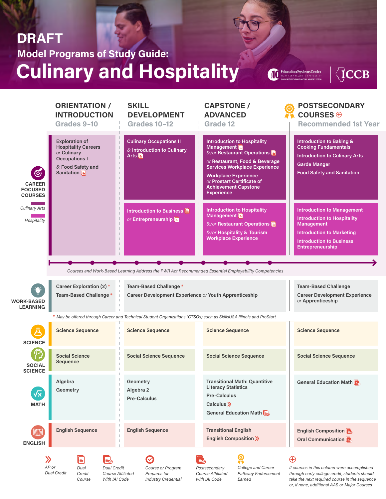# **Culinary and Hospitality Model Programs of Study Guide: DRAFT**

Education Systems Center  $\blacksquare$ 

 $\sqrt{C}$ CCB

|                                                                 | <b>ORIENTATION /</b><br><b>INTRODUCTION</b><br>Grades 9-10                                                                             | <b>SKILL</b><br><b>DEVELOPMENT</b><br><b>Grades 10-12</b>                                                           | <b>CAPSTONE /</b><br><b>ADVANCED</b><br><b>Grade 12</b>                                                                                                                                                                                                                   | <b>POSTSECONDARY</b><br>COURSES $\oplus$<br><b>Recommended 1st Year</b>                                                                                                                 |
|-----------------------------------------------------------------|----------------------------------------------------------------------------------------------------------------------------------------|---------------------------------------------------------------------------------------------------------------------|---------------------------------------------------------------------------------------------------------------------------------------------------------------------------------------------------------------------------------------------------------------------------|-----------------------------------------------------------------------------------------------------------------------------------------------------------------------------------------|
| $\bigcirc$<br><b>CAREER</b><br><b>FOCUSED</b><br><b>COURSES</b> | <b>Exploration of</b><br><b>Hospitality Careers</b><br>or Culinary<br><b>Occupations I</b><br>& Food Safety and<br><b>Sanitation</b> E | <b>Culinary Occupations II</b><br>& Introduction to Culinary<br>Arts <b>目</b><br>$\mathbb{L}$                       | <b>Introduction to Hospitality</b><br>Management<br>&/or Restaurant Operations<br>or Restaurant, Food & Beverage<br><b>Services Workplace Experience</b><br><b>Workplace Experience</b><br>or Prostart Certificate of<br><b>Achievement Capstone</b><br><b>Experience</b> | <b>Introduction to Baking &amp;</b><br><b>Cooking Fundamentals</b><br><b>Introduction to Culinary Arts</b><br><b>Garde Manger</b><br><b>Food Safety and Sanitation</b>                  |
| <b>Culinary Arts</b><br>Hospitality                             |                                                                                                                                        | Introduction to Business <b>图</b><br>or Entrepreneurship<br>$\ $<br>$\perp$                                         | <b>Introduction to Hospitality</b><br>Management <b>E</b><br>&/or Restaurant Operations<br>&/or Hospitality & Tourism<br><b>Workplace Experience</b>                                                                                                                      | <b>Introduction to Management</b><br><b>Introduction to Hospitality</b><br><b>Management</b><br><b>Introduction to Marketing</b><br><b>Introduction to Business</b><br>Entrepreneurship |
|                                                                 |                                                                                                                                        |                                                                                                                     | Courses and Work-Based Learning Address the PWR Act Recommended Essential Employability Competencies                                                                                                                                                                      |                                                                                                                                                                                         |
| <b>WORK-BASED</b><br><b>LEARNING</b>                            | Career Exploration (2) *<br>Team-Based Challenge*                                                                                      | Team-Based Challenge*<br>Career Development Experience or Youth Apprenticeship                                      |                                                                                                                                                                                                                                                                           | <b>Team-Based Challenge</b><br><b>Career Development Experience</b><br>or Apprenticeship                                                                                                |
|                                                                 |                                                                                                                                        | * May be offered through Career and Technical Student Organizations (CTSOs) such as SkillsUSA Illinois and ProStart |                                                                                                                                                                                                                                                                           |                                                                                                                                                                                         |
| <b>SCIENCE</b>                                                  | <b>Science Sequence</b>                                                                                                                | <b>Science Sequence</b>                                                                                             | <b>Science Sequence</b>                                                                                                                                                                                                                                                   | <b>Science Sequence</b>                                                                                                                                                                 |
| <b>SOCIAL</b><br><b>SCIENCE</b>                                 | <b>Social Science</b><br>Sequence                                                                                                      | <b>Social Science Sequence</b>                                                                                      | <b>Social Science Sequence</b>                                                                                                                                                                                                                                            | <b>Social Science Sequence</b>                                                                                                                                                          |
| $\sqrt{x}$<br><b>MATH</b>                                       | Algebra<br>Geometry                                                                                                                    | Geometry<br>Algebra 2<br><b>Pre-Calculus</b>                                                                        | <b>Transitional Math: Quantitive</b><br><b>Literacy Statistics</b><br><b>Pre-Calculus</b><br>Calculus $\gg$<br>General Education Math $\Box$                                                                                                                              | General Education Math                                                                                                                                                                  |
|                                                                 | <b>English Sequence</b>                                                                                                                | <b>English Sequence</b>                                                                                             | <b>Transitional English</b><br><b>English Composition »</b>                                                                                                                                                                                                               | English Composition<br>Oral Communication                                                                                                                                               |

 $\lambda$ *AP or Dual Credit*

**ENGLISH**



Ø *Course or Program Prepares for Industry Credential*



*with IAI Code*

*College and Career Pathway Endorsement Earned*

 $\bigoplus$ 

*If courses in this column were accomplished through early college credit, students should take the next required course in the sequence or, if none, additional AAS or Major Courses*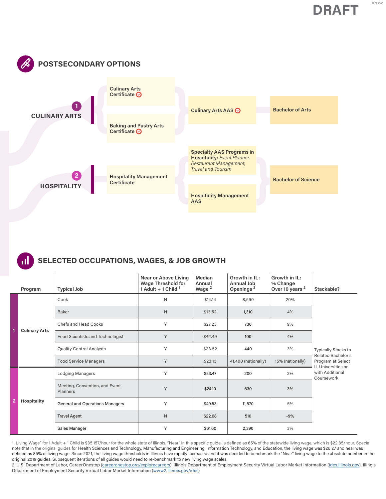20220606





|                | Program              | <b>Typical Job</b>                         | Near or Above Living<br><b>Wage Threshold for</b><br>1 Adult + 1 Child $1$ | Median<br>Annual<br>Wage <sup>2</sup> | Growth in IL:<br>Annual Job<br>Openings <sup>2</sup> | Growth in IL:<br>% Change<br>Over 10 years <sup>2</sup> | Stackable?                                                           |
|----------------|----------------------|--------------------------------------------|----------------------------------------------------------------------------|---------------------------------------|------------------------------------------------------|---------------------------------------------------------|----------------------------------------------------------------------|
|                |                      | Cook                                       | N                                                                          | \$14.14                               | 8,590                                                | 20%                                                     |                                                                      |
|                |                      | <b>Baker</b>                               | ${\sf N}$                                                                  | \$13.52                               | 1,310                                                | 4%                                                      |                                                                      |
|                | <b>Culinary Arts</b> | Chefs and Head Cooks                       | Y                                                                          | \$27.23                               | 730                                                  | 9%                                                      |                                                                      |
| $\overline{1}$ |                      | Food Scientists and Technologist           | Y                                                                          | \$42.49                               | 100                                                  | 4%                                                      |                                                                      |
|                |                      | <b>Quality Control Analysts</b>            | Υ                                                                          | \$23.52                               | 440                                                  | 3%                                                      | <b>Typically Stacks to</b>                                           |
|                |                      | <b>Food Service Managers</b>               | Y                                                                          | \$23.13                               | 41,400 (nationally)                                  | 15% (nationally)                                        | <b>Related Bachelor's</b><br>Program at Select<br>IL Universities or |
| $\overline{2}$ |                      | <b>Lodging Managers</b>                    | Y                                                                          | \$23.47                               | 200                                                  | 2%                                                      | with Additional<br>Coursework                                        |
|                |                      | Meeting, Convention, and Event<br>Planners | Y                                                                          | \$24.10<br>630<br>3%                  |                                                      |                                                         |                                                                      |
|                | <b>Hospitality</b>   | <b>General and Operations Managers</b>     | Υ                                                                          | \$49.53                               | 11,570                                               | 5%                                                      |                                                                      |
|                |                      | <b>Travel Agent</b>                        | $\mathsf N$                                                                | \$22.68                               | 510                                                  | $-9%$                                                   |                                                                      |
|                |                      | Sales Manager                              | Υ                                                                          | \$61,60                               | 2,390                                                | 3%                                                      |                                                                      |

1. Living Wage" for 1 Adult + 1 Child is \$35.157/hour for the whole state of Illinois. "Near" in this specific guide, is defined as 65% of the statewide living wage, which is \$22.85/hour. Special note that in the original guides for Health Sciences and Technology, Manufacturing and Engineering, Information Technology, and Education, the living wage was \$26.27 and near was defined as 85% of living wage. Since 2021, the living wage thresholds in Illinois have rapidly increased and it was decided to benchmark the "Near" living wage to the absolute number in the original 2019 guides. Subsequent iterations of all guides would need to re-benchmark to new living wage scales.

2. U.S. Department of Labor, CareerOnestop (careeronestop.org/explorecareers), Illinois Department of Employment Security Virtual Labor Market Information (ides.illinois.gov), Illinois Department of Employment Security Virtual Labor Market Information (www2.illinois.gov/ides)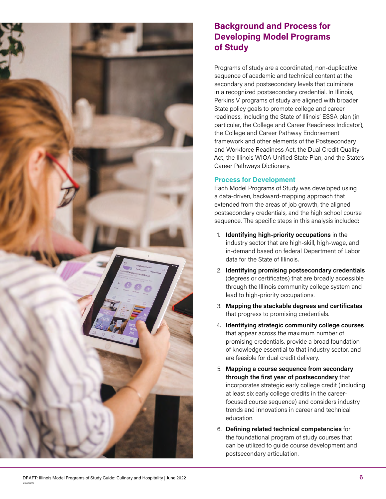<span id="page-5-0"></span>

# **Background and Process for Developing Model Programs of Study**

Programs of study are a coordinated, non-duplicative sequence of academic and technical content at the secondary and postsecondary levels that culminate in a recognized postsecondary credential. In Illinois, Perkins V programs of study are aligned with broader State policy goals to promote college and career readiness, including the State of Illinois' ESSA plan (in particular, the College and Career Readiness Indicator), the College and Career Pathway Endorsement framework and other elements of the Postsecondary and Workforce Readiness Act, the Dual Credit Quality Act, the Illinois WIOA Unified State Plan, and the State's Career Pathways Dictionary.

#### **Process for Development**

Each Model Programs of Study was developed using a data-driven, backward-mapping approach that extended from the areas of job growth, the aligned postsecondary credentials, and the high school course sequence. The specific steps in this analysis included:

- 1. **Identifying high-priority occupations** in the industry sector that are high-skill, high-wage, and in-demand based on federal Department of Labor data for the State of Illinois.
- 2. **Identifying promising postsecondary credentials** (degrees or certificates) that are broadly accessible through the Illinois community college system and lead to high-priority occupations.
- 3. **Mapping the stackable degrees and certificates** that progress to promising credentials.
- 4. **Identifying strategic community college courses** that appear across the maximum number of promising credentials, provide a broad foundation of knowledge essential to that industry sector, and are feasible for dual credit delivery.
- 5. **Mapping a course sequence from secondary through the first year of postsecondary** that incorporates strategic early college credit (including at least six early college credits in the careerfocused course sequence) and considers industry trends and innovations in career and technical education.
- 6. **Defining related technical competencies** for the foundational program of study courses that can be utilized to guide course development and postsecondary articulation.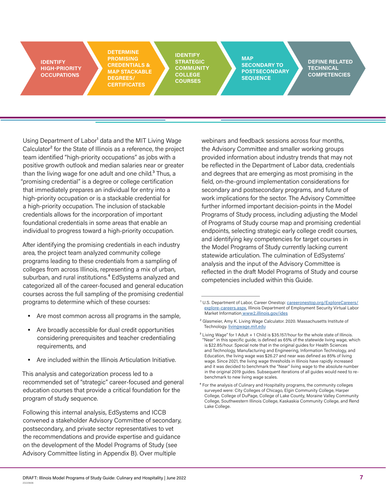**IDENTIFY HIGH-PRIORITY OCCUPATIONS**

**DETERMINE PROMISING CREDENTIALS & MAP STACKABLE DEGREES/ CERTIFICATES** 

**IDENTIFY STRATEGIC COMMUNITY COLLEGE COURSES**

**MAP SECONDARY TO POSTSECONDARY SEQUENCE**

**DEFINE RELATED TECHNICAL COMPETENCIES**

Using Department of Labor<sup>1</sup> data and the MIT Living Wage Calculator<sup>2</sup> for the State of Illinois as a reference, the project team identified "high-priority occupations" as jobs with a positive growth outlook and median salaries near or greater than the living wage for one adult and one child. $3$  Thus, a "promising credential" is a degree or college certification that immediately prepares an individual for entry into a high-priority occupation or is a stackable credential for a high-priority occupation. The inclusion of stackable credentials allows for the incorporation of important foundational credentials in some areas that enable an individual to progress toward a high-priority occupation.

After identifying the promising credentials in each industry area, the project team analyzed community college programs leading to these credentials from a sampling of colleges from across Illinois, representing a mix of urban, suburban, and rural institutions.<sup>4</sup> EdSystems analyzed and categorized all of the career-focused and general education courses across the full sampling of the promising credential programs to determine which of these courses:

- Are most common across all programs in the sample,
- Are broadly accessible for dual credit opportunities considering prerequisites and teacher credentialing requirements, and
- Are included within the Illinois Articulation Initiative.

This analysis and categorization process led to a recommended set of "strategic" career-focused and general education courses that provide a critical foundation for the program of study sequence.

Following this internal analysis, EdSystems and ICCB convened a stakeholder Advisory Committee of secondary, postsecondary, and private sector representatives to vet the recommendations and provide expertise and guidance on the development of the Model Programs of Study (see Advisory Committee listing in Appendix B). Over multiple

webinars and feedback sessions across four months, the Advisory Committee and smaller working groups provided information about industry trends that may not be reflected in the Department of Labor data, credentials and degrees that are emerging as most promising in the field, on-the-ground implementation considerations for secondary and postsecondary programs, and future of work implications for the sector. The Advisory Committee further informed important decision-points in the Model Programs of Study process, including adjusting the Model of Programs of Study course map and promising credential endpoints, selecting strategic early college credit courses, and identifying key competencies for target courses in the Model Programs of Study currently lacking current statewide articulation. The culmination of EdSystems' analysis and the input of the Advisory Committee is reflected in the draft Model Programs of Study and course competencies included within this Guide.

<sup>&</sup>lt;sup>1</sup> U.S. Department of Labor, Career Onestop: [careeronestop.org/ExploreCareers/](https://www.careeronestop.org/ExploreCareers/explore-careers.aspx) [explore-careers.aspx](https://www.careeronestop.org/ExploreCareers/explore-careers.aspx), Illinois Department of Employment Security Virtual Labor Market Information [www2.illinois.gov/ides](https://www2.illinois.gov/ides/Pages/default.aspx)

² Glasmeier, Amy K. Living Wage Calculator. 2020. Massachusetts Institute of Technology. [livingwage.mit.edu](https://livingwage.mit.edu/)

<sup>&</sup>lt;sup>3</sup> Living Wage" for 1 Adult + 1 Child is \$35.157/hour for the whole state of Illinois. "Near" in this specific guide, is defined as 65% of the statewide living wage, which is \$22.85/hour. Special note that in the original guides for Health Sciences and Technology, Manufacturing and Engineering, Information Technology, and Education, the living wage was \$26.27 and near was defined as 85% of living wage. Since 2021, the living wage thresholds in Illinois have rapidly increased and it was decided to benchmark the "Near" living wage to the absolute number in the original 2019 guides. Subsequent iterations of all guides would need to rebenchmark to new living wage scales.

<sup>&</sup>lt;sup>4</sup> For the analysis of Culinary and Hospitality programs, the community colleges surveyed were: City Colleges of Chicago, Elgin Community College, Harper College, College of DuPage, College of Lake County, Moraine Valley Community College, Southwestern Illinois College, Kaskaskia Community College, and Rend Lake College.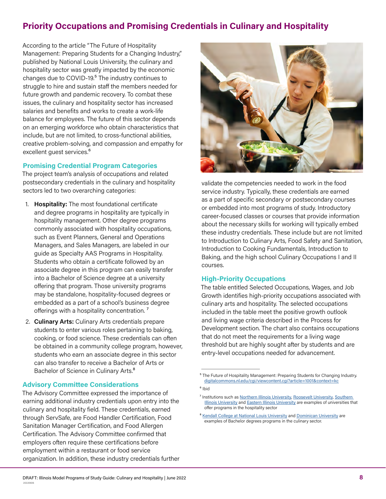# <span id="page-7-0"></span>**Priority Occupations and Promising Credentials in Culinary and Hospitality**

According to the article "The Future of Hospitality Management: Preparing Students for a Changing Industry," published by National Louis University, the culinary and hospitality sector was greatly impacted by the economic changes due to COVID-19.<sup>5</sup> The industry continues to struggle to hire and sustain staff the members needed for future growth and pandemic recovery. To combat these issues, the culinary and hospitality sector has increased salaries and benefits and works to create a work-life balance for employees. The future of this sector depends on an emerging workforce who obtain characteristics that include, but are not limited, to cross-functional abilities, creative problem-solving, and compassion and empathy for excellent guest services.<sup>6</sup>

#### **Promising Credential Program Categories**

The project team's analysis of occupations and related postsecondary credentials in the culinary and hospitality sectors led to two overarching categories:

- 1. **Hospitality:** The most foundational certificate and degree programs in hospitality are typically in hospitality management. Other degree programs commonly associated with hospitality occupations, such as Event Planners, General and Operations Managers, and Sales Managers, are labeled in our guide as Specialty AAS Programs in Hospitality. Students who obtain a certificate followed by an associate degree in this program can easily transfer into a Bachelor of Science degree at a university offering that program. Those university programs may be standalone, hospitality-focused degrees or embedded as a part of a school's business degree offerings with a hospitality concentration.<sup>7</sup>
- 2. **Culinary Arts:** Culinary Arts credentials prepare students to enter various roles pertaining to baking, cooking, or food science. These credentials can often be obtained in a community college program, however, students who earn an associate degree in this sector can also transfer to receive a Bachelor of Arts or Bachelor of Science in Culinary Arts.<sup>8</sup>

#### **Advisory Committee Considerations**

The Advisory Committee expressed the importance of earning additional industry credentials upon entry into the culinary and hospitality field. These credentials, earned through ServSafe, are Food Handler Certification, Food Sanitation Manager Certification, and Food Allergen Certification. The Advisory Committee confirmed that employers often require these certifications before employment within a restaurant or food service organization. In addition, these industry credentials further



validate the competencies needed to work in the food service industry. Typically, these credentials are earned as a part of specific secondary or postsecondary courses or embedded into most programs of study. Introductory career-focused classes or courses that provide information about the necessary skills for working will typically embed these industry credentials. These include but are not limited to Introduction to Culinary Arts, Food Safety and Sanitation, Introduction to Cooking Fundamentals, Introduction to Baking, and the high school Culinary Occupations I and II courses.

#### **High-Priority Occupations**

The table entitled Selected Occupations, Wages, and Job Growth identifies high-priority occupations associated with culinary arts and hospitality. The selected occupations included in the table meet the positive growth outlook and living wage criteria described in the Process for Development section. The chart also contains occupations that do not meet the requirements for a living wage threshold but are highly sought after by students and are entry-level occupations needed for advancement.

<sup>&</sup>lt;sup>5</sup> The Future of Hospitality Management: Preparing Students for Changing Industry. [digitalcommons.nl.edu/cgi/viewcontent.cgi?article=1001&context=kc](https://digitalcommons.nl.edu/cgi/viewcontent.cgi?article=1001&context=kc)

⁶ Ibid

<sup>&</sup>lt;sup>7</sup> Institutions such as [Northern Illinois University](https://www.chhs.niu.edu/facs/programs/hospitality/about.shtml), [Roosevelt University](https://www.roosevelt.edu/academics/programs/bachelors-in-hospitality-and-tourism-management-bshtm), Southern [Illinois University](https://business.siu.edu/academics/bachelor/htem.html) and [Eastern Illinois University](https://www.eiu.edu/majors/major/hospitality--tourism) are examples of universities that offer programs in the hospitality sector

<sup>&</sup>lt;sup>8</sup> [Kendall College at National Louis University](https://nl.edu/kendall-college/programs/culinary-arts/ba-in-culinary-management/) and [Dominican University](https://www.dom.edu/academics/majors-programs/culinology) are examples of Bachelor degrees programs in the culinary sector.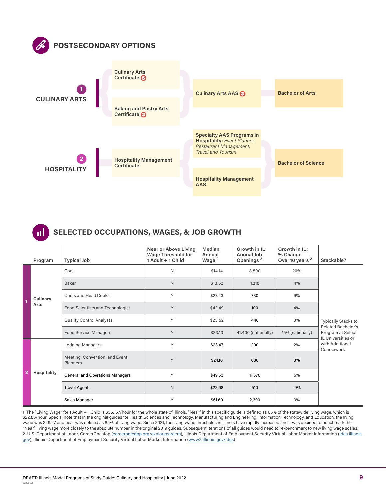

# **SELECTED OCCUPATIONS, WAGES, & JOB GROWTH**

|                | Program          | <b>Typical Job</b>                         | <b>Near or Above Living</b><br><b>Wage Threshold for</b><br>1 Adult + 1 Child $1$ | Median<br>Annual<br>Wage <sup>2</sup> | Growth in IL:<br>Annual Job<br>Openings <sup>2</sup> | Growth in IL:<br>% Change<br>Over 10 years <sup>2</sup> | Stackable?                                                           |
|----------------|------------------|--------------------------------------------|-----------------------------------------------------------------------------------|---------------------------------------|------------------------------------------------------|---------------------------------------------------------|----------------------------------------------------------------------|
|                |                  | Cook                                       | N                                                                                 | \$14,14                               | 8,590                                                | 20%                                                     |                                                                      |
|                |                  | <b>Baker</b>                               | N                                                                                 | \$13,52                               | 1,310                                                | 4%                                                      |                                                                      |
|                | Culinary<br>Arts | <b>Chefs and Head Cooks</b>                | Y                                                                                 | \$27.23                               | 730                                                  | 9%                                                      |                                                                      |
| $\overline{1}$ |                  | Food Scientists and Technologist           | Y                                                                                 | \$42.49                               | 100                                                  | 4%                                                      |                                                                      |
|                |                  | <b>Quality Control Analysts</b>            | Y                                                                                 | \$23.52                               | 440                                                  | 3%                                                      | Typically Stacks to                                                  |
|                |                  | <b>Food Service Managers</b>               | Y                                                                                 | \$23.13                               | 41,400 (nationally)                                  | 15% (nationally)                                        | <b>Related Bachelor's</b><br>Program at Select<br>IL Universities or |
| $\overline{2}$ |                  | <b>Lodging Managers</b>                    | Y                                                                                 | \$23.47                               | 200                                                  | 2%                                                      | with Additional<br>Coursework                                        |
|                |                  | Meeting, Convention, and Event<br>Planners | Y                                                                                 | \$24.10<br>630                        |                                                      | 3%                                                      |                                                                      |
|                | Hospitality      | <b>General and Operations Managers</b>     | Υ                                                                                 | \$49.53                               | 11,570                                               | 5%                                                      |                                                                      |
|                |                  | <b>Travel Agent</b>                        | $\mathsf{N}$                                                                      | \$22.68                               | 510                                                  | $-9%$                                                   |                                                                      |
|                |                  | Sales Manager                              | Y                                                                                 | \$61.60                               | 2,390                                                | 3%                                                      |                                                                      |

1. The "Living Wage" for 1 Adult + 1 Child is \$35.157/hour for the whole state of Illinois. "Near" in this specific guide is defined as 65% of the statewide living wage, which is \$22.85/hour. Special note that in the original guides for Health Sciences and Technology, Manufacturing and Engineering, Information Technology, and Education, the living wage was \$26.27 and near was defined as 85% of living wage. Since 2021, the living wage thresholds in Illinois have rapidly increased and it was decided to benchmark the "Near" living wage more closely to the absolute number in the original 2019 guides. Subsequent iterations of all guides would need to re-benchmark to new living wage scales. 2. U.S. Department of Labor, CareerOnestop (careeronestop.org/explorecareers), Illinois Department of Employment Security Virtual Labor Market Information ([ides.illinois.](https://ides.illinois.gov/) [gov](https://ides.illinois.gov/)), Illinois Department of Employment Security Virtual Labor Market Information [\(www2.illinois.gov/ides\)](www2.illinois.gov/ides)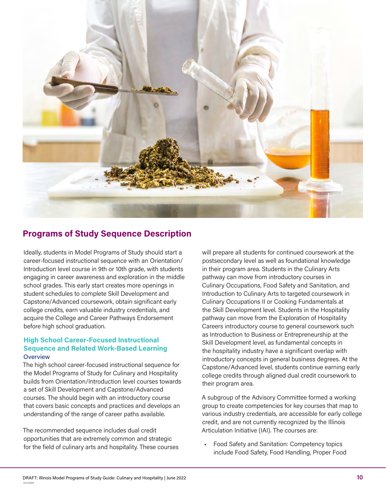<span id="page-9-0"></span>

# **Programs of Study Sequence Description**

Ideally, students in Model Programs of Study should start a career-focused instructional sequence with an Orientation/ Introduction level course in 9th or 10th grade, with students engaging in career awareness and exploration in the middle school grades. This early start creates more openings in student schedules to complete Skill Development and Capstone/Advanced coursework, obtain significant early college credits, earn valuable industry credentials, and acquire the College and Career Pathways Endorsement before high school graduation.

#### **High School Career-Focused Instructional Sequence and Related Work-Based Learning Overview**

The high school career-focused instructional sequence for the Model Programs of Study for Culinary and Hospitality builds from Orientation/Introduction level courses towards a set of Skill Development and Capstone/Advanced courses. The should begin with an introductory course that covers basic concepts and practices and develops an understanding of the range of career paths available.

The recommended sequence includes dual credit opportunities that are extremely common and strategic for the field of culinary arts and hospitality. These courses will prepare all students for continued coursework at the postsecondary level as well as foundational knowledge in their program area. Students in the Culinary Arts pathway can move from introductory courses in Culinary Occupations, Food Safety and Sanitation, and Introduction to Culinary Arts to targeted coursework in Culinary Occupations II or Cooking Fundamentals at the Skill Development level. Students in the Hospitality pathway can move from the Exploration of Hospitality Careers introductory course to general coursework such as Introduction to Business or Entrepreneurship at the Skill Development level, as fundamental concepts in the hospitality industry have a significant overlap with introductory concepts in general business degrees. At the Capstone/Advanced level, students continue earning early college credits through aligned dual credit coursework to their program area.

A subgroup of the Advisory Committee formed a working group to create competencies for key courses that map to various industry credentials, are accessible for early college credit, and are not currently recognized by the Illinois Articulation Initiative (IAI). The courses are:

• Food Safety and Sanitation: Competency topics include Food Safety, Food Handling, Proper Food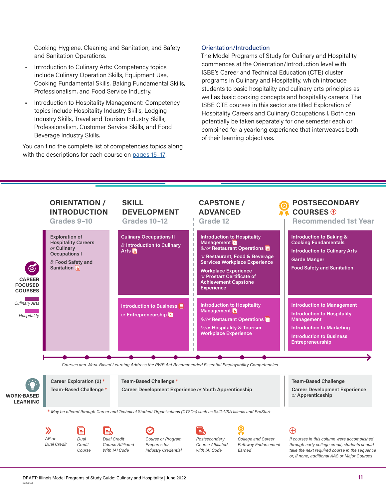Cooking Hygiene, Cleaning and Sanitation, and Safety and Sanitation Operations.

- Introduction to Culinary Arts: Competency topics include Culinary Operation Skills, Equipment Use, Cooking Fundamental Skills, Baking Fundamental Skills, Professionalism, and Food Service Industry.
- Introduction to Hospitality Management: Competency topics include Hospitality Industry Skills, Lodging Industry Skills, Travel and Tourism Industry Skills, Professionalism, Customer Service Skills, and Food Beverage Industry Skills.

You can find the complete list of competencies topics along with the descriptions for each course on pages 15-17.

#### Orientation/Introduction

The Model Programs of Study for Culinary and Hospitality commences at the Orientation/Introduction level with ISBE's Career and Technical Education (CTE) cluster programs in Culinary and Hospitality, which introduce students to basic hospitality and culinary arts principles as well as basic cooking concepts and hospitality careers. The ISBE CTE courses in this sector are titled Exploration of Hospitality Careers and Culinary Occupations I. Both can potentially be taken separately for one semester each or combined for a yearlong experience that interweaves both of their learning objectives.

|                                                                 | <b>ORIENTATION /</b><br><b>INTRODUCTION</b><br>Grades 9-10                                                                                |                                                   |                                            | <b>SKILL</b>             | <b>DEVELOPMENT</b><br><b>Grades 10-12</b>                                      |  | <b>CAPSTONE /</b><br><b>ADVANCED</b><br>Grade 12                                                                                                                  |                                                                                                      |  | <b>POSTSECONDARY</b><br>COURSES $\oplus$<br><b>Recommended 1st Year</b>                                                                                                                                      |
|-----------------------------------------------------------------|-------------------------------------------------------------------------------------------------------------------------------------------|---------------------------------------------------|--------------------------------------------|--------------------------|--------------------------------------------------------------------------------|--|-------------------------------------------------------------------------------------------------------------------------------------------------------------------|------------------------------------------------------------------------------------------------------|--|--------------------------------------------------------------------------------------------------------------------------------------------------------------------------------------------------------------|
| $\bigcirc$<br><b>CAREER</b><br><b>FOCUSED</b><br><b>COURSES</b> | <b>Exploration of</b><br><b>Hospitality Careers</b><br>or Culinary<br><b>Occupations I</b><br>& Food Safety and<br>Sanitation $\boxed{=}$ |                                                   |                                            | Arts <b>目</b>            | <b>Culinary Occupations II</b><br>& Introduction to Culinary                   |  | <b>Introduction to Hospitality</b><br>Management<br><b>Workplace Experience</b><br>or Prostart Certificate of<br><b>Achievement Capstone</b><br><b>Experience</b> | &/or Restaurant Operations<br>or Restaurant, Food & Beverage<br><b>Services Workplace Experience</b> |  | <b>Introduction to Baking &amp;</b><br><b>Cooking Fundamentals</b><br><b>Introduction to Culinary Arts</b><br><b>Garde Manger</b><br><b>Food Safety and Sanitation</b>                                       |
| <b>Culinary Arts</b><br>Hospitality                             |                                                                                                                                           |                                                   |                                            |                          | Introduction to Business <b>E</b><br>or Entrepreneurship                       |  | <b>Introduction to Hospitality</b><br>Management<br>&/or Hospitality & Tourism<br><b>Workplace Experience</b>                                                     | &/or Restaurant Operations                                                                           |  | <b>Introduction to Management</b><br><b>Introduction to Hospitality</b><br><b>Management</b><br><b>Introduction to Marketing</b><br><b>Introduction to Business</b><br>Entrepreneurship                      |
|                                                                 |                                                                                                                                           |                                                   |                                            |                          |                                                                                |  |                                                                                                                                                                   | Courses and Work-Based Learning Address the PWR Act Recommended Essential Employability Competencies |  |                                                                                                                                                                                                              |
| <b>WORK-BASED</b><br><b>LEARNING</b>                            |                                                                                                                                           | Career Exploration (2) *<br>Team-Based Challenge* |                                            |                          | Team-Based Challenge*<br>Career Development Experience or Youth Apprenticeship |  |                                                                                                                                                                   |                                                                                                      |  | <b>Team-Based Challenge</b><br><b>Career Development Experience</b><br>or Apprenticeship                                                                                                                     |
|                                                                 | * May be offered through Career and Technical Student Organizations (CTSOs) such as SkillsUSA Illinois and ProStart                       |                                                   |                                            |                          |                                                                                |  |                                                                                                                                                                   |                                                                                                      |  |                                                                                                                                                                                                              |
|                                                                 | $\lambda$<br>AP or<br><b>Dual Credit</b>                                                                                                  | ⊫<br>Dual<br>Credit<br>Course                     | l₹.<br><b>Dual Credit</b><br>With IAI Code | <b>Course Affiliated</b> | Course or Program<br>Prepares for<br><b>Industry Credential</b>                |  | Postsecondary<br><b>Course Affiliated</b><br>with IAI Code                                                                                                        | College and Career<br>Pathway Endorsement<br>Earned                                                  |  | $\bigoplus$<br>If courses in this column were accomplished<br>through early college credit, students should<br>take the next required course in the sequence<br>or, if none, additional AAS or Major Courses |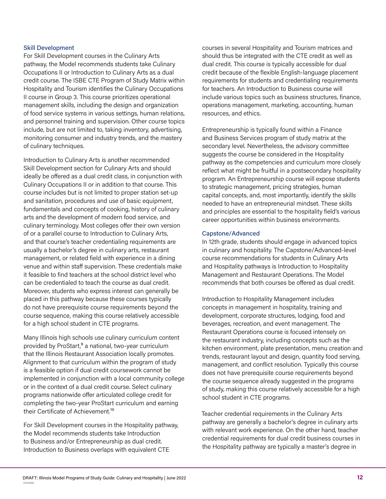#### <span id="page-11-0"></span>Skill Development

For Skill Development courses in the Culinary Arts pathway, the Model recommends students take Culinary Occupations II or Introduction to Culinary Arts as a dual credit course. The ISBE CTE Program of Study Matrix within Hospitality and Tourism identifies the Culinary Occupations II course in Group 3. This course prioritizes operational management skills, including the design and organization of food service systems in various settings, human relations, and personnel training and supervision. Other course topics include, but are not limited to, taking inventory, advertising, monitoring consumer and industry trends, and the mastery of culinary techniques.

Introduction to Culinary Arts is another recommended Skill Development section for Culinary Arts and should ideally be offered as a dual credit class, in conjunction with Culinary Occupations II or in addition to that course. This course includes but is not limited to proper station set-up and sanitation, procedures and use of basic equipment, fundamentals and concepts of cooking, history of culinary arts and the development of modern food service, and culinary terminology. Most colleges offer their own version of or a parallel course to Introduction to Culinary Arts, and that course's teacher credentialing requirements are usually a bachelor's degree in culinary arts, restaurant management, or related field with experience in a dining venue and within staff supervision. These credentials make it feasible to find teachers at the school district level who can be credentialed to teach the course as dual credit. Moreover, students who express interest can generally be placed in this pathway because these courses typically do not have prerequisite course requirements beyond the course sequence, making this course relatively accessible for a high school student in CTE programs.

Many Illinois high schools use culinary curriculum content provided by ProStart,<sup>9</sup> a national, two-year curriculum that the Illinois Restaurant Association locally promotes. Alignment to that curriculum within the program of study is a feasible option if dual credit coursework cannot be implemented in conjunction with a local community college or in the context of a dual credit course. Select culinary programs nationwide offer articulated college credit for completing the two-year ProStart curriculum and earning their Certificate of Achievement.<sup>10</sup>

For Skill Development courses in the Hospitality pathway, the Model recommends students take Introduction to Business and/or Entrepreneurship as dual credit. Introduction to Business overlaps with equivalent CTE

courses in several Hospitality and Tourism matrices and should thus be integrated with the CTE credit as well as dual credit. This course is typically accessible for dual credit because of the flexible English-language placement requirements for students and credentialing requirements for teachers. An Introduction to Business course will include various topics such as business structures, finance, operations management, marketing, accounting, human resources, and ethics.

Entrepreneurship is typically found within a Finance and Business Services program of study matrix at the secondary level. Nevertheless, the advisory committee suggests the course be considered in the Hospitality pathway as the competencies and curriculum more closely reflect what might be fruitful in a postsecondary hospitality program. An Entrepreneurship course will expose students to strategic management, pricing strategies, human capital concepts, and, most importantly, identify the skills needed to have an entrepreneurial mindset. These skills and principles are essential to the hospitality field's various career opportunities within business environments.

#### Capstone/Advanced

In 12th grade, students should engage in advanced topics in culinary and hospitality. The Capstone/Advanced-level course recommendations for students in Culinary Arts and Hospitality pathways is Introduction to Hospitality Management and Restaurant Operations. The Model recommends that both courses be offered as dual credit.

Introduction to Hospitality Management includes concepts in management in hospitality, training and development, corporate structures, lodging, food and beverages, recreation, and event management. The Restaurant Operations course is focused intensely on the restaurant industry, including concepts such as the kitchen environment, plate presentation, menu creation and trends, restaurant layout and design, quantity food serving, management, and conflict resolution. Typically this course does not have prerequisite course requirements beyond the course sequence already suggested in the programs of study, making this course relatively accessible for a high school student in CTE programs.

Teacher credential requirements in the Culinary Arts pathway are generally a bachelor's degree in culinary arts with relevant work experience. On the other hand, teacher credential requirements for dual credit business courses in the Hospitality pathway are typically a master's degree in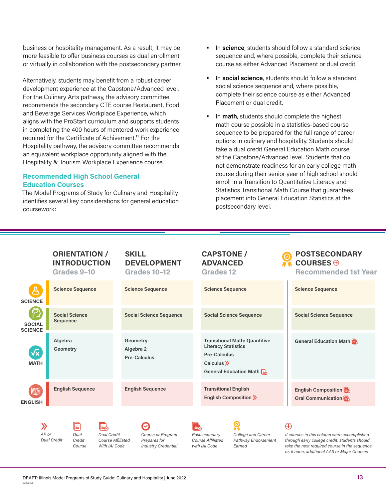business or hospitality management. As a result, it may be more feasible to offer business courses as dual enrollment or virtually in collaboration with the postsecondary partner.

Alternatively, students may benefit from a robust career development experience at the Capstone/Advanced level. For the Culinary Arts pathway, the advisory committee recommends the secondary CTE course Restaurant, Food and Beverage Services Workplace Experience, which aligns with the ProStart curriculum and supports students in completing the 400 hours of mentored work experience required for the Certificate of Achivement.<sup>11</sup> For the Hospitality pathway, the advisory committee recommends an equivalent workplace opportunity aligned with the Hospitality & Tourism Workplace Experience course.

# **Recommended High School General Education Courses**

The Model Programs of Study for Culinary and Hospitality identifies several key considerations for general education coursework:

- In **science**, students should follow a standard science sequence and, where possible, complete their science course as either Advanced Placement or dual credit.
- In **social science**, students should follow a standard social science sequence and, where possible, complete their science course as either Advanced Placement or dual credit.
- In **math**, students should complete the highest math course possible in a statistics-based course sequence to be prepared for the full range of career options in culinary and hospitality. Students should take a dual credit General Education Math course at the Capstone/Advanced level. Students that do not demonstrate readiness for an early college math course during their senior year of high school should enroll in a Transition to Quantitative Literacy and Statistics Transitional Math Course that guarantees placement into General Education Statistics at the postsecondary level.

| ORIENTATION /       |  |
|---------------------|--|
| <b>INTRODUCTION</b> |  |
| Grades 9-10         |  |

### **SKILL DEVELOPMENT Grades 10–12**

#### **CAPSTONE / ADVANCED Grades 12**

# **POSTSECONDARY COURSES Recommended 1st Year**

| <b>SCIENCE</b>                     | <b>Science Sequence</b>                  | <b>Science Sequence</b>                      | <b>Science Sequence</b>                                                                                                               | <b>Science Sequence</b>                   |
|------------------------------------|------------------------------------------|----------------------------------------------|---------------------------------------------------------------------------------------------------------------------------------------|-------------------------------------------|
| <b>SOCIAL</b><br><b>SCIENCE</b>    | <b>Social Science</b><br><b>Sequence</b> | <b>Social Science Sequence</b>               | <b>Social Science Sequence</b>                                                                                                        | <b>Social Science Sequence</b>            |
| $\sqrt{\mathsf{x}}$<br><b>MATH</b> | Algebra<br>Geometry                      | Geometry<br>Algebra 2<br><b>Pre-Calculus</b> | <b>Transitional Math: Quantitive</b><br><b>Literacy Statistics</b><br><b>Pre-Calculus</b><br>Calculus $\gg$<br>General Education Math | General Education Math                    |
| 圉<br><b>ENGLISH</b>                | <b>English Sequence</b>                  | <b>English Sequence</b>                      | <b>Transitional English</b><br>English Composition >>                                                                                 | English Composition<br>Oral Communication |
|                                    |                                          |                                              |                                                                                                                                       |                                           |

*Dual Credit Course AP or Dual Credit*

 $\lambda$ 

*Dual Credit Course Affiliated With IAI Code*

*Course or Program Prepares for Industry Credential* *Postsecondary Course Affiliated with IAI Code*

*College and Career Pathway Endorsement Earned*

# $\bigoplus$

*If courses in this column were accomplished through early college credit, students should take the next required course in the sequence or, if none, additional AAS or Major Courses*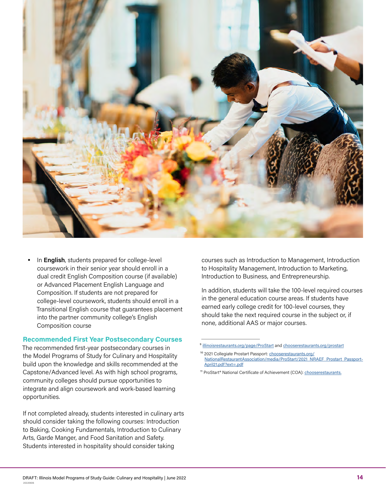<span id="page-13-0"></span>

• In **English**, students prepared for college-level coursework in their senior year should enroll in a dual credit English Composition course (if available) or Advanced Placement English Language and Composition. If students are not prepared for college-level coursework, students should enroll in a Transitional English course that guarantees placement into the partner community college's English Composition course

#### **Recommended First Year Postsecondary Courses**

The recommended first-year postsecondary courses in the Model Programs of Study for Culinary and Hospitality build upon the knowledge and skills recommended at the Capstone/Advanced level. As with high school programs, community colleges should pursue opportunities to integrate and align coursework and work-based learning opportunities.

If not completed already, students interested in culinary arts should consider taking the following courses: Introduction to Baking, Cooking Fundamentals, Introduction to Culinary Arts, Garde Manger, and Food Sanitation and Safety. Students interested in hospitality should consider taking

courses such as Introduction to Management, Introduction to Hospitality Management, Introduction to Marketing, Introduction to Business, and Entrepreneurship.

In addition, students will take the 100-level required courses in the general education course areas. If students have earned early college credit for 100-level courses, they should take the next required course in the subject or, if none, additional AAS or major courses.

<sup>&</sup>lt;sup>9</sup> [illinoisrestaurants.org/page/ProStart](https://www.illinoisrestaurants.org/page/ProStart) and [chooserestaurants.org/prostart](https://chooserestaurants.org/prostart
)

<sup>&</sup>lt;sup>10</sup> 2021 Collegiate Prostart Passport: [chooserestaurants.org/](https://chooserestaurants.org/NationalRestaurantAssociation/media/ProStart/2021_NRAEF_Prostart_Passport-April21.pdf?ext=.pdf
) [NationalRestaurantAssociation/media/ProStart/2021\\_NRAEF\\_Prostart\\_Passport-](https://chooserestaurants.org/NationalRestaurantAssociation/media/ProStart/2021_NRAEF_Prostart_Passport-April21.pdf?ext=.pdf
)[April21.pdf?ext=.pdf](https://chooserestaurants.org/NationalRestaurantAssociation/media/ProStart/2021_NRAEF_Prostart_Passport-April21.pdf?ext=.pdf
)

<sup>&</sup>lt;sup>11</sup> ProStart® National Certificate of Achievement (COA): [chooserestaurants.](https://chooserestaurants.org/Students/Curriculum)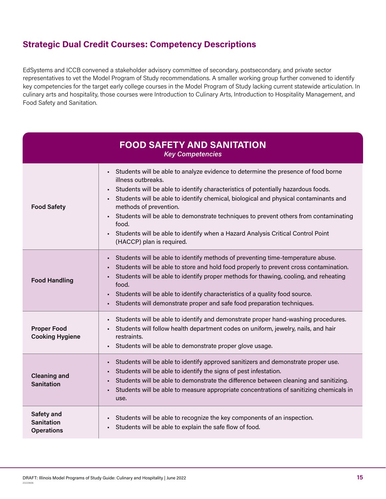# <span id="page-14-0"></span>**Strategic Dual Credit Courses: Competency Descriptions**

EdSystems and ICCB convened a stakeholder advisory committee of secondary, postsecondary, and private sector representatives to vet the Model Program of Study recommendations. A smaller working group further convened to identify key competencies for the target early college courses in the Model Program of Study lacking current statewide articulation. In culinary arts and hospitality, those courses were Introduction to Culinary Arts, Introduction to Hospitality Management, and Food Safety and Sanitation.

| <b>FOOD SAFETY AND SANITATION</b><br><b>Key Competencies</b> |                                                                                                                                                                                                                                                                                                                                                                                                                                                                                                                                                                  |  |  |  |  |  |
|--------------------------------------------------------------|------------------------------------------------------------------------------------------------------------------------------------------------------------------------------------------------------------------------------------------------------------------------------------------------------------------------------------------------------------------------------------------------------------------------------------------------------------------------------------------------------------------------------------------------------------------|--|--|--|--|--|
| <b>Food Safety</b>                                           | Students will be able to analyze evidence to determine the presence of food borne<br>$\blacksquare$<br>illness outbreaks.<br>Students will be able to identify characteristics of potentially hazardous foods.<br>٠<br>Students will be able to identify chemical, biological and physical contaminants and<br>٠<br>methods of prevention.<br>Students will be able to demonstrate techniques to prevent others from contaminating<br>٠<br>food.<br>Students will be able to identify when a Hazard Analysis Critical Control Point<br>(HACCP) plan is required. |  |  |  |  |  |
| <b>Food Handling</b>                                         | Students will be able to identify methods of preventing time-temperature abuse.<br>$\blacksquare$<br>Students will be able to store and hold food properly to prevent cross contamination.<br>Students will be able to identify proper methods for thawing, cooling, and reheating<br>٠<br>food.<br>Students will be able to identify characteristics of a quality food source.<br>٠<br>Students will demonstrate proper and safe food preparation techniques.                                                                                                   |  |  |  |  |  |
| <b>Proper Food</b><br><b>Cooking Hygiene</b>                 | Students will be able to identify and demonstrate proper hand-washing procedures.<br>٠<br>Students will follow health department codes on uniform, jewelry, nails, and hair<br>restraints.<br>Students will be able to demonstrate proper glove usage.<br>٠                                                                                                                                                                                                                                                                                                      |  |  |  |  |  |
| <b>Cleaning and</b><br><b>Sanitation</b>                     | Students will be able to identify approved sanitizers and demonstrate proper use.<br>٠<br>Students will be able to identify the signs of pest infestation.<br>$\blacksquare$<br>Students will be able to demonstrate the difference between cleaning and sanitizing.<br>Students will be able to measure appropriate concentrations of sanitizing chemicals in<br>٠<br>use.                                                                                                                                                                                      |  |  |  |  |  |
| Safety and<br><b>Sanitation</b><br><b>Operations</b>         | Students will be able to recognize the key components of an inspection.<br>Students will be able to explain the safe flow of food.<br>٠                                                                                                                                                                                                                                                                                                                                                                                                                          |  |  |  |  |  |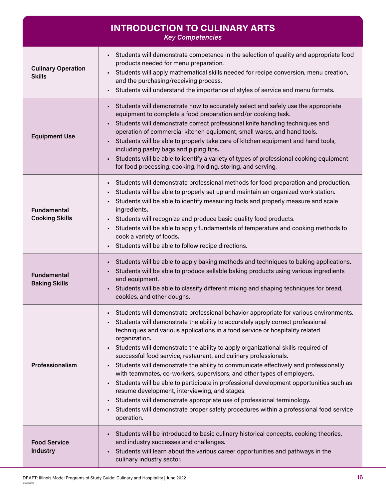<span id="page-15-0"></span>

|                                             | <b>INTRODUCTION TO CULINARY ARTS</b><br><b>Key Competencies</b>                                                                                                                                                                                                                                                                                                                                                                                                                                                                                                                                                                                                                                                                                                                                                                                                                                                                 |
|---------------------------------------------|---------------------------------------------------------------------------------------------------------------------------------------------------------------------------------------------------------------------------------------------------------------------------------------------------------------------------------------------------------------------------------------------------------------------------------------------------------------------------------------------------------------------------------------------------------------------------------------------------------------------------------------------------------------------------------------------------------------------------------------------------------------------------------------------------------------------------------------------------------------------------------------------------------------------------------|
| <b>Culinary Operation</b><br><b>Skills</b>  | Students will demonstrate competence in the selection of quality and appropriate food<br>products needed for menu preparation.<br>Students will apply mathematical skills needed for recipe conversion, menu creation,<br>$\blacksquare$<br>and the purchasing/receiving process.<br>Students will understand the importance of styles of service and menu formats.                                                                                                                                                                                                                                                                                                                                                                                                                                                                                                                                                             |
| <b>Equipment Use</b>                        | Students will demonstrate how to accurately select and safely use the appropriate<br>$\blacksquare$<br>equipment to complete a food preparation and/or cooking task.<br>Students will demonstrate correct professional knife handling techniques and<br>operation of commercial kitchen equipment, small wares, and hand tools.<br>Students will be able to properly take care of kitchen equipment and hand tools,<br>including pastry bags and piping tips.<br>Students will be able to identify a variety of types of professional cooking equipment<br>for food processing, cooking, holding, storing, and serving.                                                                                                                                                                                                                                                                                                         |
| <b>Fundamental</b><br><b>Cooking Skills</b> | Students will demonstrate professional methods for food preparation and production.<br>$\mathbf{r}$<br>Students will be able to properly set up and maintain an organized work station.<br>Students will be able to identify measuring tools and properly measure and scale<br>ingredients.<br>Students will recognize and produce basic quality food products.<br>$\blacksquare$<br>Students will be able to apply fundamentals of temperature and cooking methods to<br>cook a variety of foods.<br>Students will be able to follow recipe directions.                                                                                                                                                                                                                                                                                                                                                                        |
| <b>Fundamental</b><br><b>Baking Skills</b>  | Students will be able to apply baking methods and techniques to baking applications.<br>$\mathbf{r}$ .<br>Students will be able to produce sellable baking products using various ingredients<br>and equipment.<br>Students will be able to classify different mixing and shaping techniques for bread,<br>cookies, and other doughs.                                                                                                                                                                                                                                                                                                                                                                                                                                                                                                                                                                                           |
| Professionalism                             | Students will demonstrate professional behavior appropriate for various environments.<br>Students will demonstrate the ability to accurately apply correct professional<br>techniques and various applications in a food service or hospitality related<br>organization.<br>• Students will demonstrate the ability to apply organizational skills required of<br>successful food service, restaurant, and culinary professionals.<br>Students will demonstrate the ability to communicate effectively and professionally<br>with teammates, co-workers, supervisors, and other types of employers.<br>Students will be able to participate in professional development opportunities such as<br>resume development, interviewing, and stages.<br>Students will demonstrate appropriate use of professional terminology.<br>Students will demonstrate proper safety procedures within a professional food service<br>operation. |
| <b>Food Service</b><br><b>Industry</b>      | Students will be introduced to basic culinary historical concepts, cooking theories,<br>and industry successes and challenges.<br>Students will learn about the various career opportunities and pathways in the<br>culinary industry sector.                                                                                                                                                                                                                                                                                                                                                                                                                                                                                                                                                                                                                                                                                   |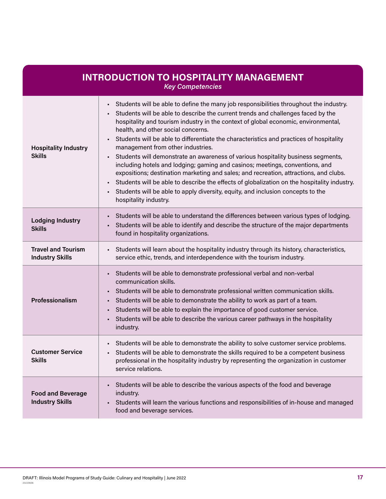<span id="page-16-0"></span>

| <b>INTRODUCTION TO HOSPITALITY MANAGEMENT</b><br><b>Key Competencies</b> |                                                                                                                                                                                                                                                                                                                                                                                                                                                                                                                                                                                                                                                                                                                                                                                                                                                                                                                                       |  |  |  |  |  |
|--------------------------------------------------------------------------|---------------------------------------------------------------------------------------------------------------------------------------------------------------------------------------------------------------------------------------------------------------------------------------------------------------------------------------------------------------------------------------------------------------------------------------------------------------------------------------------------------------------------------------------------------------------------------------------------------------------------------------------------------------------------------------------------------------------------------------------------------------------------------------------------------------------------------------------------------------------------------------------------------------------------------------|--|--|--|--|--|
| <b>Hospitality Industry</b><br><b>Skills</b>                             | Students will be able to define the many job responsibilities throughout the industry.<br>$\blacksquare$<br>Students will be able to describe the current trends and challenges faced by the<br>hospitality and tourism industry in the context of global economic, environmental,<br>health, and other social concerns.<br>Students will be able to differentiate the characteristics and practices of hospitality<br>management from other industries.<br>Students will demonstrate an awareness of various hospitality business segments,<br>٠<br>including hotels and lodging; gaming and casinos; meetings, conventions, and<br>expositions; destination marketing and sales; and recreation, attractions, and clubs.<br>Students will be able to describe the effects of globalization on the hospitality industry.<br>Students will be able to apply diversity, equity, and inclusion concepts to the<br>hospitality industry. |  |  |  |  |  |
| <b>Lodging Industry</b><br><b>Skills</b>                                 | Students will be able to understand the differences between various types of lodging.<br>Students will be able to identify and describe the structure of the major departments<br>found in hospitality organizations.                                                                                                                                                                                                                                                                                                                                                                                                                                                                                                                                                                                                                                                                                                                 |  |  |  |  |  |
| <b>Travel and Tourism</b><br><b>Industry Skills</b>                      | Students will learn about the hospitality industry through its history, characteristics,<br>service ethic, trends, and interdependence with the tourism industry.                                                                                                                                                                                                                                                                                                                                                                                                                                                                                                                                                                                                                                                                                                                                                                     |  |  |  |  |  |
| Professionalism                                                          | Students will be able to demonstrate professional verbal and non-verbal<br>communication skills.<br>Students will be able to demonstrate professional written communication skills.<br>Students will be able to demonstrate the ability to work as part of a team.<br>Students will be able to explain the importance of good customer service.<br>Students will be able to describe the various career pathways in the hospitality<br>٠<br>industry.                                                                                                                                                                                                                                                                                                                                                                                                                                                                                 |  |  |  |  |  |
| <b>Customer Service</b><br><b>Skills</b>                                 | - Students will be able to demonstrate the ability to solve customer service problems.<br>Students will be able to demonstrate the skills required to be a competent business<br>professional in the hospitality industry by representing the organization in customer<br>service relations.                                                                                                                                                                                                                                                                                                                                                                                                                                                                                                                                                                                                                                          |  |  |  |  |  |
| <b>Food and Beverage</b><br><b>Industry Skills</b>                       | Students will be able to describe the various aspects of the food and beverage<br>industry.<br>Students will learn the various functions and responsibilities of in-house and managed<br>food and beverage services.                                                                                                                                                                                                                                                                                                                                                                                                                                                                                                                                                                                                                                                                                                                  |  |  |  |  |  |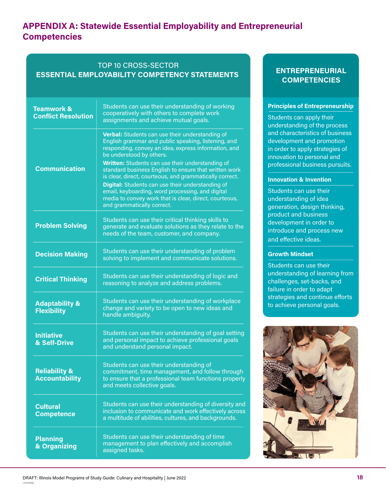# **APPENDIX A: Statewide Essential Employability and Entrepreneurial Competencies**

# TOP 10 CROSS-SECTOR **ESSENTIAL EMPLOYABILITY COMPETENCY STATEMENTS**

| <b>Teamwork &amp;</b><br><b>Conflict Resolution</b> | Students can use their understanding of working<br>cooperatively with others to complete work<br>assignments and achieve mutual goals.                                                                                                                                                                                                                                                                                                                                                                                                                             |
|-----------------------------------------------------|--------------------------------------------------------------------------------------------------------------------------------------------------------------------------------------------------------------------------------------------------------------------------------------------------------------------------------------------------------------------------------------------------------------------------------------------------------------------------------------------------------------------------------------------------------------------|
| <b>Communication</b>                                | Verbal: Students can use their understanding of<br>English grammar and public speaking, listening, and<br>responding, convey an idea, express information, and<br>be understood by others.<br>Written: Students can use their understanding of<br>standard business English to ensure that written work<br>is clear, direct, courteous, and grammatically correct.<br>Digital: Students can use their understanding of<br>email, keyboarding, word processing, and digital<br>media to convey work that is clear, direct, courteous,<br>and grammatically correct. |
| <b>Problem Solving</b>                              | Students can use their critical thinking skills to<br>generate and evaluate solutions as they relate to the<br>needs of the team, customer, and company.                                                                                                                                                                                                                                                                                                                                                                                                           |
| <b>Decision Making</b>                              | Students can use their understanding of problem<br>solving to implement and communicate solutions.                                                                                                                                                                                                                                                                                                                                                                                                                                                                 |
| <b>Critical Thinking</b>                            | Students can use their understanding of logic and<br>reasoning to analyze and address problems.                                                                                                                                                                                                                                                                                                                                                                                                                                                                    |
| <b>Adaptability &amp;</b><br><b>Flexibility</b>     | Students can use their understanding of workplace<br>change and variety to be open to new ideas and<br>handle ambiguity.                                                                                                                                                                                                                                                                                                                                                                                                                                           |
| <b>Initiative</b><br>& Self-Drive                   | Students can use their understanding of goal setting<br>and personal impact to achieve professional goals<br>and understand personal impact.                                                                                                                                                                                                                                                                                                                                                                                                                       |
| <b>Reliability &amp;</b><br><b>Accountability</b>   | Students can use their understanding of<br>commitment, time management, and follow through<br>to ensure that a professional team functions properly<br>and meets collective goals.                                                                                                                                                                                                                                                                                                                                                                                 |
| <b>Cultural</b><br><b>Competence</b>                | Students can use their understanding of diversity and<br>inclusion to communicate and work effectively across<br>a multitude of abilities, cultures, and backgrounds.                                                                                                                                                                                                                                                                                                                                                                                              |
| <b>Planning</b><br>& Organizing                     | Students can use their understanding of time<br>management to plan effectively and accomplish<br>assigned tasks.                                                                                                                                                                                                                                                                                                                                                                                                                                                   |

# **ENTREPRENEURIAL COMPETENCIES**

#### **Principles of Entrepreneurship**

Students can apply their understanding of the process and characteristics of business development and promotion in order to apply strategies of innovation to personal and professional business pursuits.

#### **Innovation & Invention**

Students can use their understanding of idea generation, design thinking, product and business development in order to introduce and process new and effective ideas.

#### **Growth Mindset**

Students can use their understanding of learning from challenges, set-backs, and failure in order to adapt strategies and continue efforts to achieve personal goals.